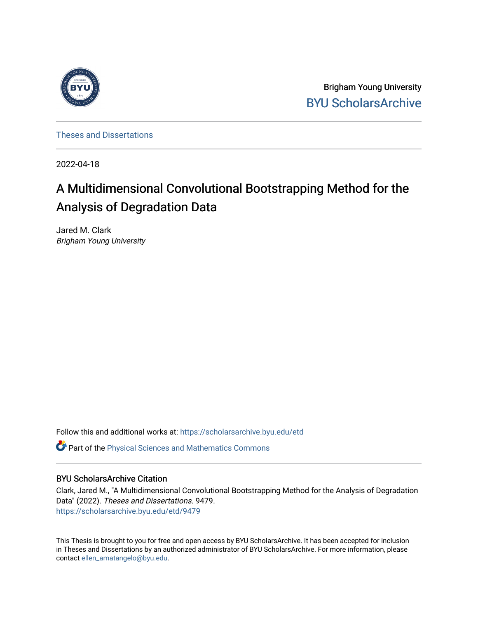

Brigham Young University [BYU ScholarsArchive](https://scholarsarchive.byu.edu/) 

[Theses and Dissertations](https://scholarsarchive.byu.edu/etd)

2022-04-18

# A Multidimensional Convolutional Bootstrapping Method for the Analysis of Degradation Data

Jared M. Clark Brigham Young University

Follow this and additional works at: [https://scholarsarchive.byu.edu/etd](https://scholarsarchive.byu.edu/etd?utm_source=scholarsarchive.byu.edu%2Fetd%2F9479&utm_medium=PDF&utm_campaign=PDFCoverPages)

**C** Part of the Physical Sciences and Mathematics Commons

# BYU ScholarsArchive Citation

Clark, Jared M., "A Multidimensional Convolutional Bootstrapping Method for the Analysis of Degradation Data" (2022). Theses and Dissertations. 9479. [https://scholarsarchive.byu.edu/etd/9479](https://scholarsarchive.byu.edu/etd/9479?utm_source=scholarsarchive.byu.edu%2Fetd%2F9479&utm_medium=PDF&utm_campaign=PDFCoverPages) 

This Thesis is brought to you for free and open access by BYU ScholarsArchive. It has been accepted for inclusion in Theses and Dissertations by an authorized administrator of BYU ScholarsArchive. For more information, please contact [ellen\\_amatangelo@byu.edu.](mailto:ellen_amatangelo@byu.edu)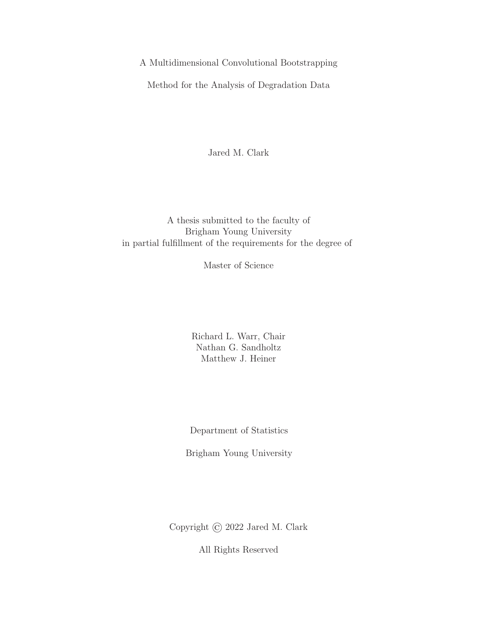A Multidimensional Convolutional Bootstrapping

Method for the Analysis of Degradation Data

Jared M. Clark

A thesis submitted to the faculty of Brigham Young University in partial fulfillment of the requirements for the degree of

Master of Science

Richard L. Warr, Chair Nathan G. Sandholtz Matthew J. Heiner

Department of Statistics

Brigham Young University

Copyright © 2022 Jared M. Clark

All Rights Reserved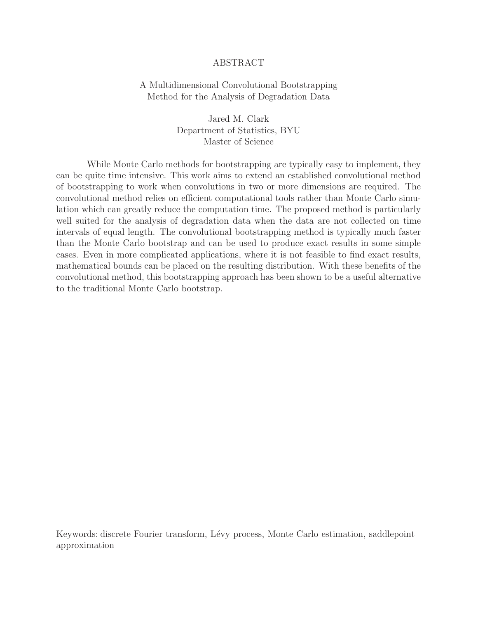## ABSTRACT

# A Multidimensional Convolutional Bootstrapping Method for the Analysis of Degradation Data

Jared M. Clark Department of Statistics, BYU Master of Science

While Monte Carlo methods for bootstrapping are typically easy to implement, they can be quite time intensive. This work aims to extend an established convolutional method of bootstrapping to work when convolutions in two or more dimensions are required. The convolutional method relies on efficient computational tools rather than Monte Carlo simulation which can greatly reduce the computation time. The proposed method is particularly well suited for the analysis of degradation data when the data are not collected on time intervals of equal length. The convolutional bootstrapping method is typically much faster than the Monte Carlo bootstrap and can be used to produce exact results in some simple cases. Even in more complicated applications, where it is not feasible to find exact results, mathematical bounds can be placed on the resulting distribution. With these benefits of the convolutional method, this bootstrapping approach has been shown to be a useful alternative to the traditional Monte Carlo bootstrap.

Keywords: discrete Fourier transform, Lévy process, Monte Carlo estimation, saddlepoint approximation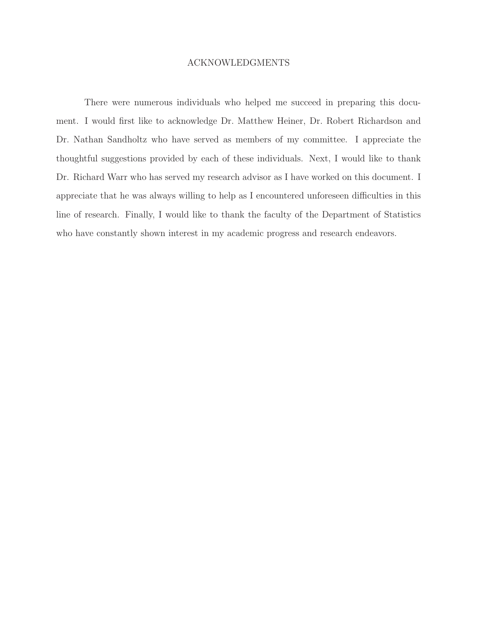#### ACKNOWLEDGMENTS

There were numerous individuals who helped me succeed in preparing this document. I would first like to acknowledge Dr. Matthew Heiner, Dr. Robert Richardson and Dr. Nathan Sandholtz who have served as members of my committee. I appreciate the thoughtful suggestions provided by each of these individuals. Next, I would like to thank Dr. Richard Warr who has served my research advisor as I have worked on this document. I appreciate that he was always willing to help as I encountered unforeseen difficulties in this line of research. Finally, I would like to thank the faculty of the Department of Statistics who have constantly shown interest in my academic progress and research endeavors.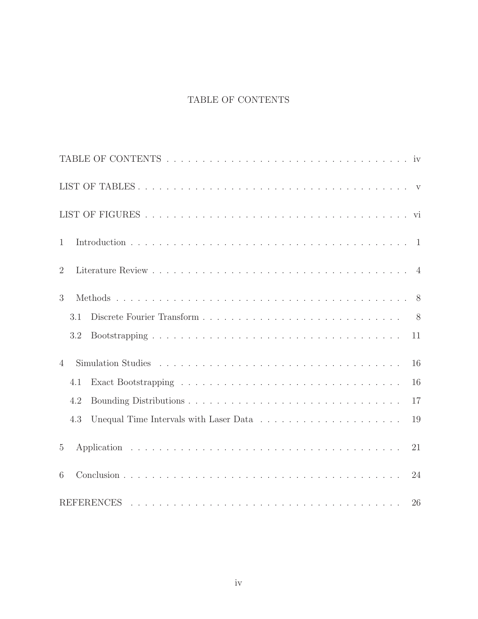# TABLE OF CONTENTS

| 1                                                                                                |    |
|--------------------------------------------------------------------------------------------------|----|
| $\overline{2}$                                                                                   |    |
| 3                                                                                                |    |
| 3.1                                                                                              |    |
| 3.2                                                                                              | 11 |
| $\overline{4}$                                                                                   | 16 |
| 4.1                                                                                              | 16 |
| 4.2                                                                                              | 17 |
| Unequal Time Intervals with Laser Data $\ldots \ldots \ldots \ldots \ldots \ldots \ldots$<br>4.3 | 19 |
| 5                                                                                                | 21 |
| 6                                                                                                | 24 |
|                                                                                                  | 26 |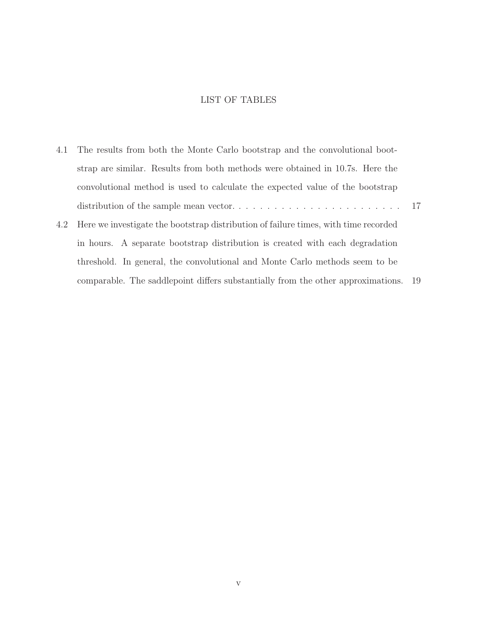# LIST OF TABLES

|     | 4.1 The results from both the Monte Carlo bootstrap and the convolutional boot-     |  |
|-----|-------------------------------------------------------------------------------------|--|
|     | strap are similar. Results from both methods were obtained in 10.7s. Here the       |  |
|     | convolutional method is used to calculate the expected value of the bootstrap       |  |
|     |                                                                                     |  |
| 4.2 | Here we investigate the bootstrap distribution of failure times, with time recorded |  |
|     | in hours. A separate bootstrap distribution is created with each degradation        |  |
|     | threshold. In general, the convolutional and Monte Carlo methods seem to be         |  |
|     | comparable. The saddlepoint differs substantially from the other approximations. 19 |  |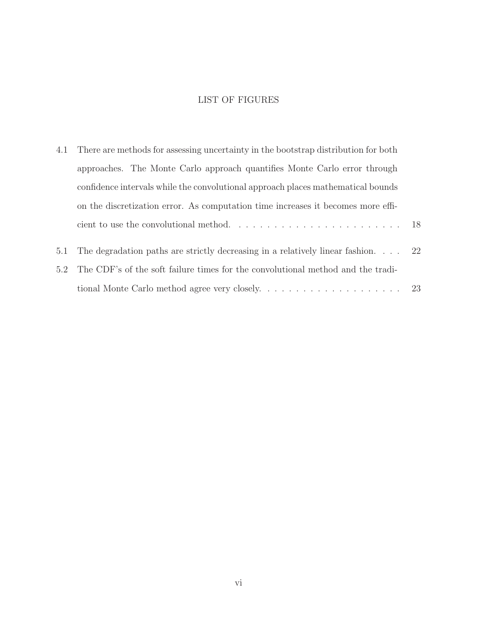# LIST OF FIGURES

| 4.1 | There are methods for assessing uncertainty in the bootstrap distribution for both                         |  |  |  |  |
|-----|------------------------------------------------------------------------------------------------------------|--|--|--|--|
|     | approaches. The Monte Carlo approach quantifies Monte Carlo error through                                  |  |  |  |  |
|     | confidence intervals while the convolutional approach places mathematical bounds                           |  |  |  |  |
|     | on the discretization error. As computation time increases it becomes more effi-                           |  |  |  |  |
|     | cient to use the convolutional method. $\dots \dots \dots \dots \dots \dots \dots \dots \dots \dots \dots$ |  |  |  |  |
|     |                                                                                                            |  |  |  |  |
| 5.1 | The degradation paths are strictly decreasing in a relatively linear fashion $22$                          |  |  |  |  |
| 5.2 | The CDF's of the soft failure times for the convolutional method and the tradi-                            |  |  |  |  |
|     | tional Monte Carlo method agree very closely. $\dots \dots \dots \dots \dots \dots \dots \dots$ 23         |  |  |  |  |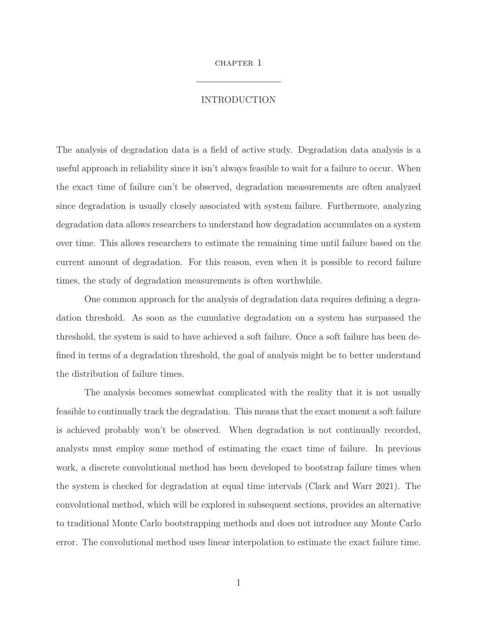#### chapter 1

## INTRODUCTION

The analysis of degradation data is a field of active study. Degradation data analysis is a useful approach in reliability since it isn't always feasible to wait for a failure to occur. When the exact time of failure can't be observed, degradation measurements are often analyzed since degradation is usually closely associated with system failure. Furthermore, analyzing degradation data allows researchers to understand how degradation accumulates on a system over time. This allows researchers to estimate the remaining time until failure based on the current amount of degradation. For this reason, even when it is possible to record failure times, the study of degradation measurements is often worthwhile.

One common approach for the analysis of degradation data requires defining a degradation threshold. As soon as the cumulative degradation on a system has surpassed the threshold, the system is said to have achieved a soft failure. Once a soft failure has been defined in terms of a degradation threshold, the goal of analysis might be to better understand the distribution of failure times.

The analysis becomes somewhat complicated with the reality that it is not usually feasible to continually track the degradation. This means that the exact moment a soft failure is achieved probably won't be observed. When degradation is not continually recorded, analysts must employ some method of estimating the exact time of failure. In previous work, a discrete convolutional method has been developed to bootstrap failure times when the system is checked for degradation at equal time intervals (Clark and Warr 2021). The convolutional method, which will be explored in subsequent sections, provides an alternative to traditional Monte Carlo bootstrapping methods and does not introduce any Monte Carlo error. The convolutional method uses linear interpolation to estimate the exact failure time.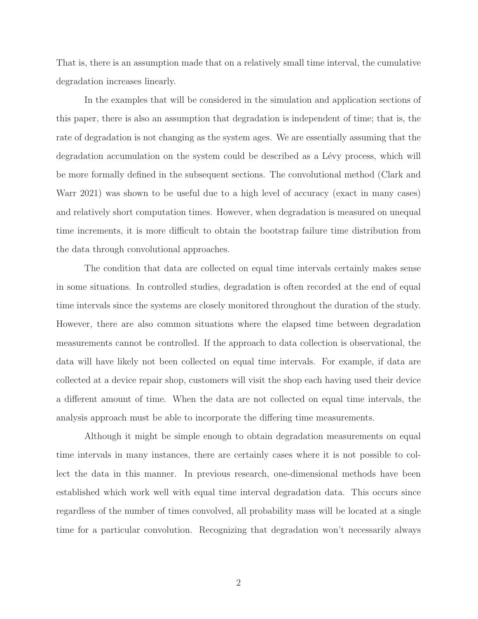That is, there is an assumption made that on a relatively small time interval, the cumulative degradation increases linearly.

In the examples that will be considered in the simulation and application sections of this paper, there is also an assumption that degradation is independent of time; that is, the rate of degradation is not changing as the system ages. We are essentially assuming that the degradation accumulation on the system could be described as a Lévy process, which will be more formally defined in the subsequent sections. The convolutional method (Clark and Warr 2021) was shown to be useful due to a high level of accuracy (exact in many cases) and relatively short computation times. However, when degradation is measured on unequal time increments, it is more difficult to obtain the bootstrap failure time distribution from the data through convolutional approaches.

The condition that data are collected on equal time intervals certainly makes sense in some situations. In controlled studies, degradation is often recorded at the end of equal time intervals since the systems are closely monitored throughout the duration of the study. However, there are also common situations where the elapsed time between degradation measurements cannot be controlled. If the approach to data collection is observational, the data will have likely not been collected on equal time intervals. For example, if data are collected at a device repair shop, customers will visit the shop each having used their device a different amount of time. When the data are not collected on equal time intervals, the analysis approach must be able to incorporate the differing time measurements.

Although it might be simple enough to obtain degradation measurements on equal time intervals in many instances, there are certainly cases where it is not possible to collect the data in this manner. In previous research, one-dimensional methods have been established which work well with equal time interval degradation data. This occurs since regardless of the number of times convolved, all probability mass will be located at a single time for a particular convolution. Recognizing that degradation won't necessarily always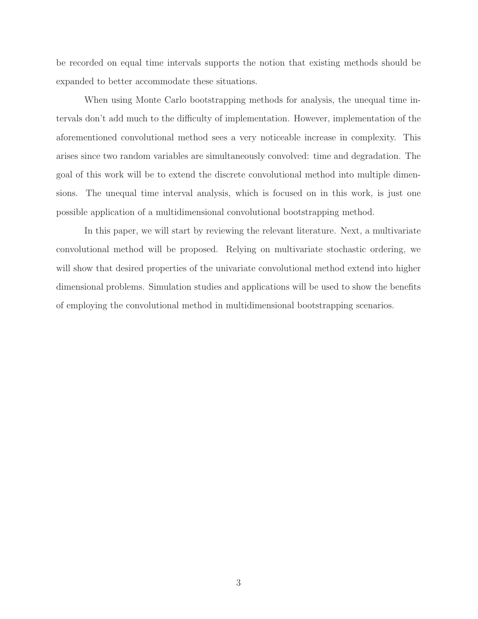be recorded on equal time intervals supports the notion that existing methods should be expanded to better accommodate these situations.

When using Monte Carlo bootstrapping methods for analysis, the unequal time intervals don't add much to the difficulty of implementation. However, implementation of the aforementioned convolutional method sees a very noticeable increase in complexity. This arises since two random variables are simultaneously convolved: time and degradation. The goal of this work will be to extend the discrete convolutional method into multiple dimensions. The unequal time interval analysis, which is focused on in this work, is just one possible application of a multidimensional convolutional bootstrapping method.

In this paper, we will start by reviewing the relevant literature. Next, a multivariate convolutional method will be proposed. Relying on multivariate stochastic ordering, we will show that desired properties of the univariate convolutional method extend into higher dimensional problems. Simulation studies and applications will be used to show the benefits of employing the convolutional method in multidimensional bootstrapping scenarios.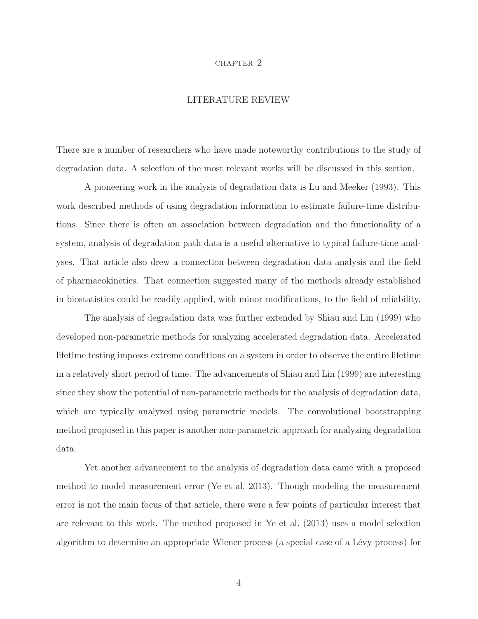## CHAPTER 2

#### LITERATURE REVIEW

There are a number of researchers who have made noteworthy contributions to the study of degradation data. A selection of the most relevant works will be discussed in this section.

A pioneering work in the analysis of degradation data is Lu and Meeker (1993). This work described methods of using degradation information to estimate failure-time distributions. Since there is often an association between degradation and the functionality of a system, analysis of degradation path data is a useful alternative to typical failure-time analyses. That article also drew a connection between degradation data analysis and the field of pharmacokinetics. That connection suggested many of the methods already established in biostatistics could be readily applied, with minor modifications, to the field of reliability.

The analysis of degradation data was further extended by Shiau and Lin (1999) who developed non-parametric methods for analyzing accelerated degradation data. Accelerated lifetime testing imposes extreme conditions on a system in order to observe the entire lifetime in a relatively short period of time. The advancements of Shiau and Lin (1999) are interesting since they show the potential of non-parametric methods for the analysis of degradation data, which are typically analyzed using parametric models. The convolutional bootstrapping method proposed in this paper is another non-parametric approach for analyzing degradation data.

Yet another advancement to the analysis of degradation data came with a proposed method to model measurement error (Ye et al. 2013). Though modeling the measurement error is not the main focus of that article, there were a few points of particular interest that are relevant to this work. The method proposed in Ye et al. (2013) uses a model selection algorithm to determine an appropriate Wiener process (a special case of a Lévy process) for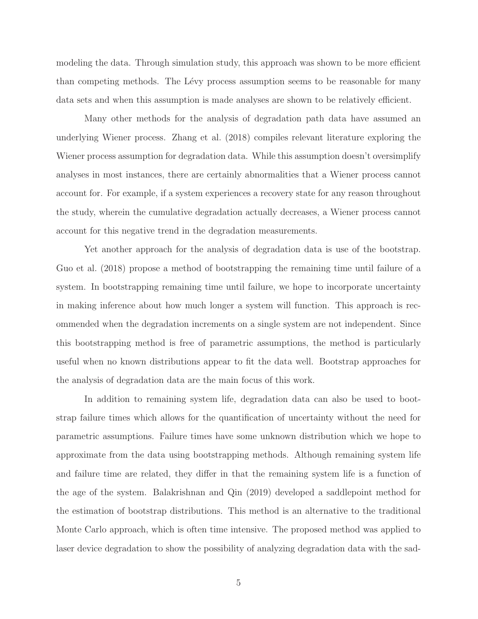modeling the data. Through simulation study, this approach was shown to be more efficient than competing methods. The Lévy process assumption seems to be reasonable for many data sets and when this assumption is made analyses are shown to be relatively efficient.

Many other methods for the analysis of degradation path data have assumed an underlying Wiener process. Zhang et al. (2018) compiles relevant literature exploring the Wiener process assumption for degradation data. While this assumption doesn't oversimplify analyses in most instances, there are certainly abnormalities that a Wiener process cannot account for. For example, if a system experiences a recovery state for any reason throughout the study, wherein the cumulative degradation actually decreases, a Wiener process cannot account for this negative trend in the degradation measurements.

Yet another approach for the analysis of degradation data is use of the bootstrap. Guo et al. (2018) propose a method of bootstrapping the remaining time until failure of a system. In bootstrapping remaining time until failure, we hope to incorporate uncertainty in making inference about how much longer a system will function. This approach is recommended when the degradation increments on a single system are not independent. Since this bootstrapping method is free of parametric assumptions, the method is particularly useful when no known distributions appear to fit the data well. Bootstrap approaches for the analysis of degradation data are the main focus of this work.

In addition to remaining system life, degradation data can also be used to bootstrap failure times which allows for the quantification of uncertainty without the need for parametric assumptions. Failure times have some unknown distribution which we hope to approximate from the data using bootstrapping methods. Although remaining system life and failure time are related, they differ in that the remaining system life is a function of the age of the system. Balakrishnan and Qin (2019) developed a saddlepoint method for the estimation of bootstrap distributions. This method is an alternative to the traditional Monte Carlo approach, which is often time intensive. The proposed method was applied to laser device degradation to show the possibility of analyzing degradation data with the sad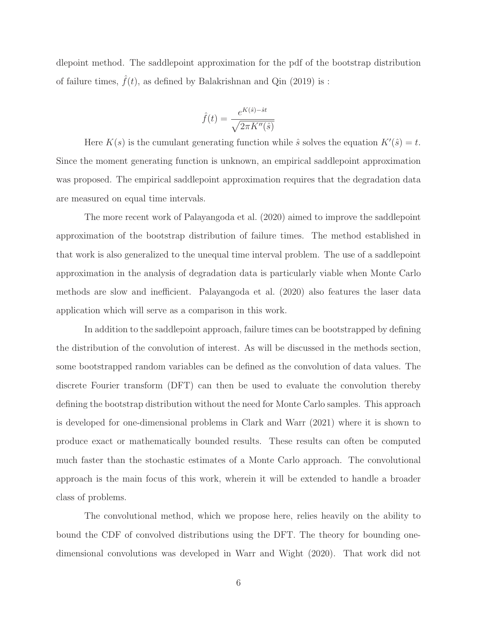dlepoint method. The saddlepoint approximation for the pdf of the bootstrap distribution of failure times,  $f(t)$ , as defined by Balakrishnan and Qin (2019) is :

$$
\hat{f}(t) = \frac{e^{K(\hat{s}) - \hat{s}t}}{\sqrt{2\pi K''(\hat{s})}}
$$

Here  $K(s)$  is the cumulant generating function while  $\hat{s}$  solves the equation  $K'(\hat{s}) = t$ . Since the moment generating function is unknown, an empirical saddlepoint approximation was proposed. The empirical saddlepoint approximation requires that the degradation data are measured on equal time intervals.

The more recent work of Palayangoda et al. (2020) aimed to improve the saddlepoint approximation of the bootstrap distribution of failure times. The method established in that work is also generalized to the unequal time interval problem. The use of a saddlepoint approximation in the analysis of degradation data is particularly viable when Monte Carlo methods are slow and inefficient. Palayangoda et al. (2020) also features the laser data application which will serve as a comparison in this work.

In addition to the saddlepoint approach, failure times can be bootstrapped by defining the distribution of the convolution of interest. As will be discussed in the methods section, some bootstrapped random variables can be defined as the convolution of data values. The discrete Fourier transform (DFT) can then be used to evaluate the convolution thereby defining the bootstrap distribution without the need for Monte Carlo samples. This approach is developed for one-dimensional problems in Clark and Warr (2021) where it is shown to produce exact or mathematically bounded results. These results can often be computed much faster than the stochastic estimates of a Monte Carlo approach. The convolutional approach is the main focus of this work, wherein it will be extended to handle a broader class of problems.

The convolutional method, which we propose here, relies heavily on the ability to bound the CDF of convolved distributions using the DFT. The theory for bounding onedimensional convolutions was developed in Warr and Wight (2020). That work did not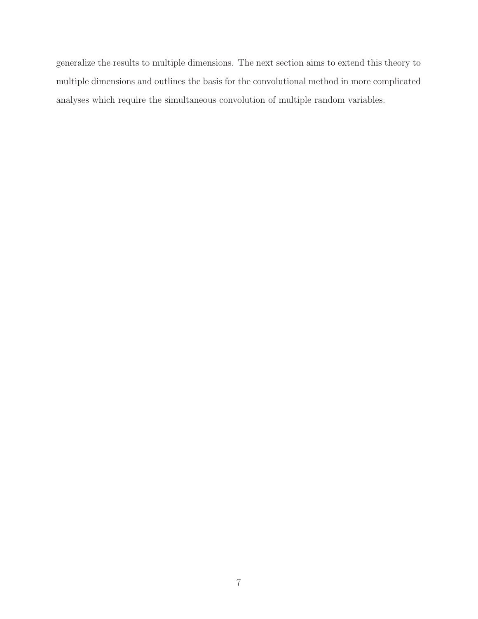generalize the results to multiple dimensions. The next section aims to extend this theory to multiple dimensions and outlines the basis for the convolutional method in more complicated analyses which require the simultaneous convolution of multiple random variables.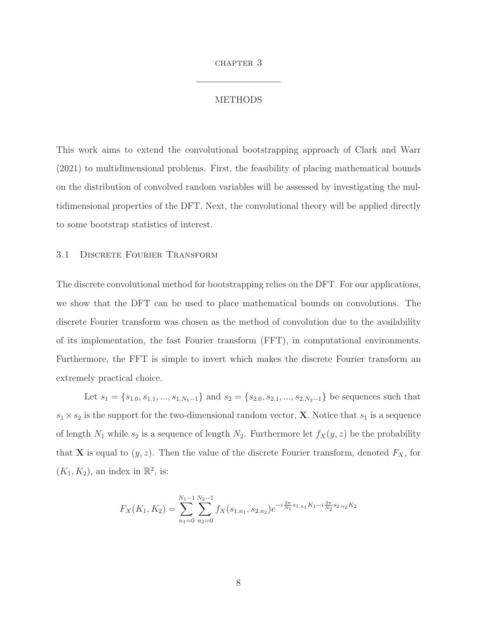#### chapter 3

#### METHODS

This work aims to extend the convolutional bootstrapping approach of Clark and Warr (2021) to multidimensional problems. First, the feasibility of placing mathematical bounds on the distribution of convolved random variables will be assessed by investigating the multidimensional properties of the DFT. Next, the convolutional theory will be applied directly to some bootstrap statistics of interest.

#### 3.1 Discrete Fourier Transform

The discrete convolutional method for bootstrapping relies on the DFT. For our applications, we show that the DFT can be used to place mathematical bounds on convolutions. The discrete Fourier transform was chosen as the method of convolution due to the availability of its implementation, the fast Fourier transform (FFT), in computational environments. Furthermore, the FFT is simple to invert which makes the discrete Fourier transform an extremely practical choice.

Let  $s_1 = \{s_{1,0}, s_{1,1}, ..., s_{1,N_1-1}\}$  and  $s_2 = \{s_{2,0}, s_{2,1}, ..., s_{2,N_2-1}\}$  be sequences such that  $s_1 \times s_2$  is the support for the two-dimensional random vector, **X**. Notice that  $s_1$  is a sequence of length  $N_1$  while  $s_2$  is a sequence of length  $N_2$ . Furthermore let  $f_X(y, z)$  be the probability that **X** is equal to  $(y, z)$ . Then the value of the discrete Fourier transform, denoted  $F_X$ , for  $(K_1, K_2)$ , an index in  $\mathbb{R}^2$ , is:

$$
F_X(K_1, K_2) = \sum_{n_1=0}^{N_1-1} \sum_{n_2=0}^{N_2-1} f_X(s_{1,n_1}, s_{2,n_2}) e^{-i\frac{2\pi}{N_1} s_{1,n_1} K_1 - i\frac{2\pi}{N_2} s_{2,n_2} K_2}
$$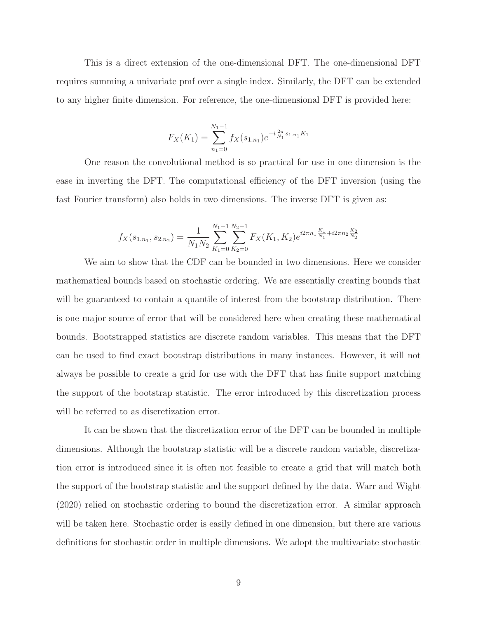This is a direct extension of the one-dimensional DFT. The one-dimensional DFT requires summing a univariate pmf over a single index. Similarly, the DFT can be extended to any higher finite dimension. For reference, the one-dimensional DFT is provided here:

$$
F_X(K_1) = \sum_{n_1=0}^{N_1-1} f_X(s_{1.n_1}) e^{-i\frac{2\pi}{N_1} s_{1.n_1} K_1}
$$

One reason the convolutional method is so practical for use in one dimension is the ease in inverting the DFT. The computational efficiency of the DFT inversion (using the fast Fourier transform) also holds in two dimensions. The inverse DFT is given as:

$$
f_X(s_{1,n_1}, s_{2,n_2}) = \frac{1}{N_1 N_2} \sum_{K_1=0}^{N_1-1} \sum_{K_2=0}^{N_2-1} F_X(K_1, K_2) e^{i2\pi n_1 \frac{K_1}{N_1} + i2\pi n_2 \frac{K_2}{N_2}}
$$

We aim to show that the CDF can be bounded in two dimensions. Here we consider mathematical bounds based on stochastic ordering. We are essentially creating bounds that will be guaranteed to contain a quantile of interest from the bootstrap distribution. There is one major source of error that will be considered here when creating these mathematical bounds. Bootstrapped statistics are discrete random variables. This means that the DFT can be used to find exact bootstrap distributions in many instances. However, it will not always be possible to create a grid for use with the DFT that has finite support matching the support of the bootstrap statistic. The error introduced by this discretization process will be referred to as discretization error.

It can be shown that the discretization error of the DFT can be bounded in multiple dimensions. Although the bootstrap statistic will be a discrete random variable, discretization error is introduced since it is often not feasible to create a grid that will match both the support of the bootstrap statistic and the support defined by the data. Warr and Wight (2020) relied on stochastic ordering to bound the discretization error. A similar approach will be taken here. Stochastic order is easily defined in one dimension, but there are various definitions for stochastic order in multiple dimensions. We adopt the multivariate stochastic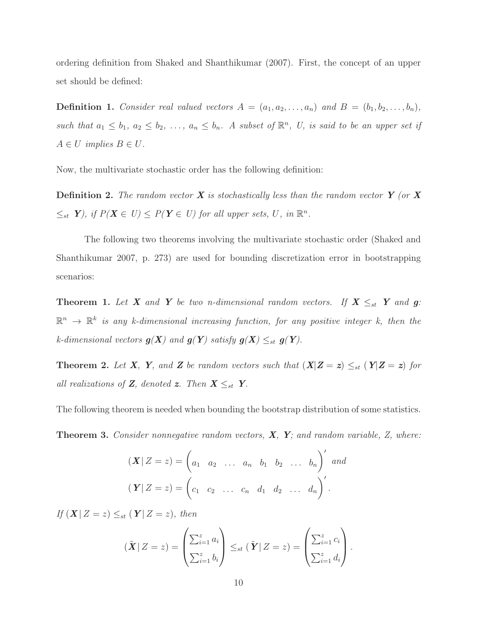ordering definition from Shaked and Shanthikumar (2007). First, the concept of an upper set should be defined:

**Definition 1.** Consider real valued vectors  $A = (a_1, a_2, \ldots, a_n)$  and  $B = (b_1, b_2, \ldots, b_n)$ , such that  $a_1 \leq b_1, a_2 \leq b_2, \ldots, a_n \leq b_n$ . A subset of  $\mathbb{R}^n$ , U, is said to be an upper set if  $A \in U$  implies  $B \in U$ .

Now, the multivariate stochastic order has the following definition:

**Definition 2.** The random vector *X* is stochastically less than the random vector *Y* (or *X*  $\leq_{st} Y$ , if  $P(X \in U) \leq P(Y \in U)$  for all upper sets, U, in  $\mathbb{R}^n$ .

The following two theorems involving the multivariate stochastic order (Shaked and Shanthikumar 2007, p. 273) are used for bounding discretization error in bootstrapping scenarios:

**Theorem 1.** Let *X* and *Y* be two n-dimensional random vectors. If  $X \leq_{st} Y$  and **g**:  $\mathbb{R}^n \to \mathbb{R}^k$  is any k-dimensional increasing function, for any positive integer k, then the k-dimensional vectors  $g(X)$  and  $g(Y)$  satisfy  $g(X) \leq_{st} g(Y)$ .

**Theorem 2.** Let **X**, **Y**, and **Z** be random vectors such that  $(X|Z=z) \leq_{st} (Y|Z=z)$  for all realizations of **Z**, denoted **z**. Then  $X \leq_{st} Y$ .

The following theorem is needed when bounding the bootstrap distribution of some statistics.

**Theorem 3.** Consider nonnegative random vectors, *X*, *Y*; and random variable, Z, where:

$$
(\mathbf{X} | Z = z) = \begin{pmatrix} a_1 & a_2 & \dots & a_n & b_1 & b_2 & \dots & b_n \end{pmatrix}' \text{ and}
$$

$$
(\mathbf{Y} | Z = z) = \begin{pmatrix} c_1 & c_2 & \dots & c_n & d_1 & d_2 & \dots & d_n \end{pmatrix}'.
$$

If  $(X|Z=z) \leq_{st} (Y|Z=z)$ , then

$$
(\tilde{\boldsymbol{X}} | Z = z) = \begin{pmatrix} \sum_{i=1}^{z} a_i \\ \sum_{i=1}^{z} b_i \end{pmatrix} \leq_{st} (\tilde{\boldsymbol{Y}} | Z = z) = \begin{pmatrix} \sum_{i=1}^{z} c_i \\ \sum_{i=1}^{z} d_i \end{pmatrix}.
$$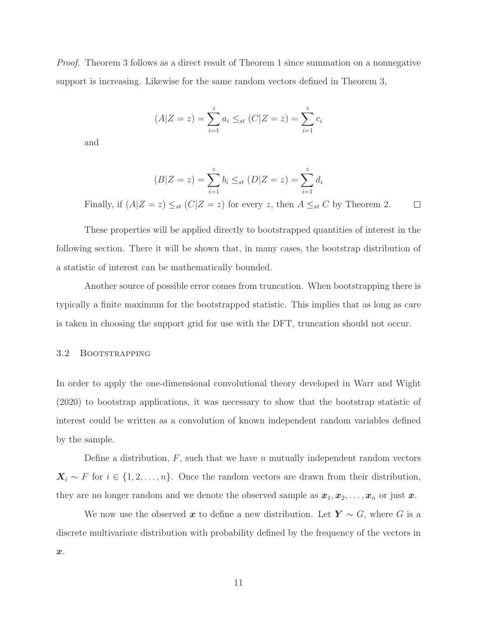Proof. Theorem 3 follows as a direct result of Theorem 1 since summation on a nonnegative support is increasing. Likewise for the same random vectors defined in Theorem 3,

$$
(A|Z = z) = \sum_{i=1}^{z} a_i \leq_{st} (C|Z = z) = \sum_{i=1}^{z} c_i
$$

and

$$
(B|Z = z) = \sum_{i=1}^{z} b_i \leq_{st} (D|Z = z) = \sum_{i=1}^{z} d_i
$$

Finally, if  $(A|Z=z) \leq_{st} (C|Z=z)$  for every z, then  $A \leq_{st} C$  by Theorem 2.  $\Box$ 

These properties will be applied directly to bootstrapped quantities of interest in the following section. There it will be shown that, in many cases, the bootstrap distribution of a statistic of interest can be mathematically bounded.

Another source of possible error comes from truncation. When bootstrapping there is typically a finite maximum for the bootstrapped statistic. This implies that as long as care is taken in choosing the support grid for use with the DFT, truncation should not occur.

#### 3.2 BOOTSTRAPPING

In order to apply the one-dimensional convolutional theory developed in Warr and Wight (2020) to bootstrap applications, it was necessary to show that the bootstrap statistic of interest could be written as a convolution of known independent random variables defined by the sample.

Define a distribution,  $F$ , such that we have n mutually independent random vectors  $\mathbf{X}_i \sim F$  for  $i \in \{1, 2, ..., n\}$ . Once the random vectors are drawn from their distribution, they are no longer random and we denote the observed sample as  $x_1, x_2, \ldots, x_n$  or just  $x$ .

We now use the observed x to define a new distribution. Let  $Y \sim G$ , where G is a discrete multivariate distribution with probability defined by the frequency of the vectors in *x*.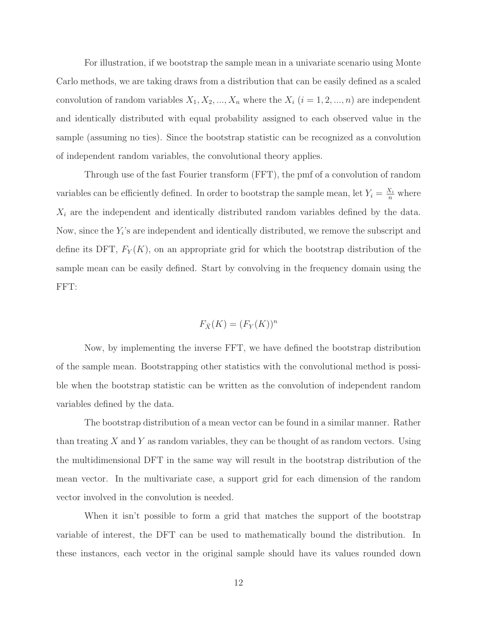For illustration, if we bootstrap the sample mean in a univariate scenario using Monte Carlo methods, we are taking draws from a distribution that can be easily defined as a scaled convolution of random variables  $X_1, X_2, ..., X_n$  where the  $X_i$   $(i = 1, 2, ..., n)$  are independent and identically distributed with equal probability assigned to each observed value in the sample (assuming no ties). Since the bootstrap statistic can be recognized as a convolution of independent random variables, the convolutional theory applies.

Through use of the fast Fourier transform (FFT), the pmf of a convolution of random variables can be efficiently defined. In order to bootstrap the sample mean, let  $Y_i = \frac{X_i}{n}$  where  $X_i$  are the independent and identically distributed random variables defined by the data. Now, since the  $Y_i$ 's are independent and identically distributed, we remove the subscript and define its DFT,  $F_Y(K)$ , on an appropriate grid for which the bootstrap distribution of the sample mean can be easily defined. Start by convolving in the frequency domain using the FFT:

$$
F_{\bar{X}}(K) = (F_Y(K))^n
$$

Now, by implementing the inverse FFT, we have defined the bootstrap distribution of the sample mean. Bootstrapping other statistics with the convolutional method is possible when the bootstrap statistic can be written as the convolution of independent random variables defined by the data.

The bootstrap distribution of a mean vector can be found in a similar manner. Rather than treating X and Y as random variables, they can be thought of as random vectors. Using the multidimensional DFT in the same way will result in the bootstrap distribution of the mean vector. In the multivariate case, a support grid for each dimension of the random vector involved in the convolution is needed.

When it isn't possible to form a grid that matches the support of the bootstrap variable of interest, the DFT can be used to mathematically bound the distribution. In these instances, each vector in the original sample should have its values rounded down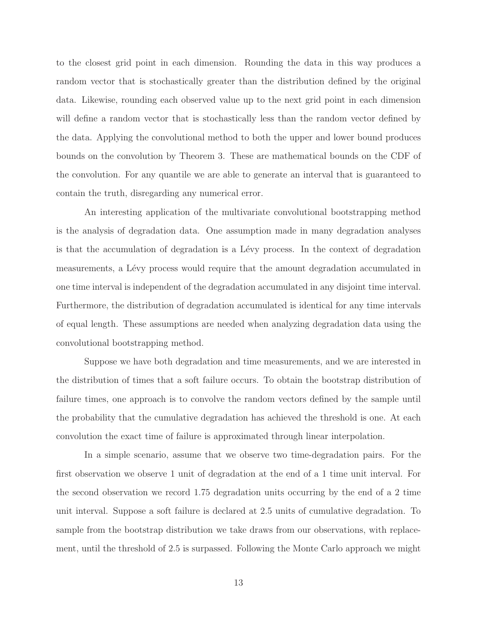to the closest grid point in each dimension. Rounding the data in this way produces a random vector that is stochastically greater than the distribution defined by the original data. Likewise, rounding each observed value up to the next grid point in each dimension will define a random vector that is stochastically less than the random vector defined by the data. Applying the convolutional method to both the upper and lower bound produces bounds on the convolution by Theorem 3. These are mathematical bounds on the CDF of the convolution. For any quantile we are able to generate an interval that is guaranteed to contain the truth, disregarding any numerical error.

An interesting application of the multivariate convolutional bootstrapping method is the analysis of degradation data. One assumption made in many degradation analyses is that the accumulation of degradation is a Lévy process. In the context of degradation measurements, a Lévy process would require that the amount degradation accumulated in one time interval is independent of the degradation accumulated in any disjoint time interval. Furthermore, the distribution of degradation accumulated is identical for any time intervals of equal length. These assumptions are needed when analyzing degradation data using the convolutional bootstrapping method.

Suppose we have both degradation and time measurements, and we are interested in the distribution of times that a soft failure occurs. To obtain the bootstrap distribution of failure times, one approach is to convolve the random vectors defined by the sample until the probability that the cumulative degradation has achieved the threshold is one. At each convolution the exact time of failure is approximated through linear interpolation.

In a simple scenario, assume that we observe two time-degradation pairs. For the first observation we observe 1 unit of degradation at the end of a 1 time unit interval. For the second observation we record 1.75 degradation units occurring by the end of a 2 time unit interval. Suppose a soft failure is declared at 2.5 units of cumulative degradation. To sample from the bootstrap distribution we take draws from our observations, with replacement, until the threshold of 2.5 is surpassed. Following the Monte Carlo approach we might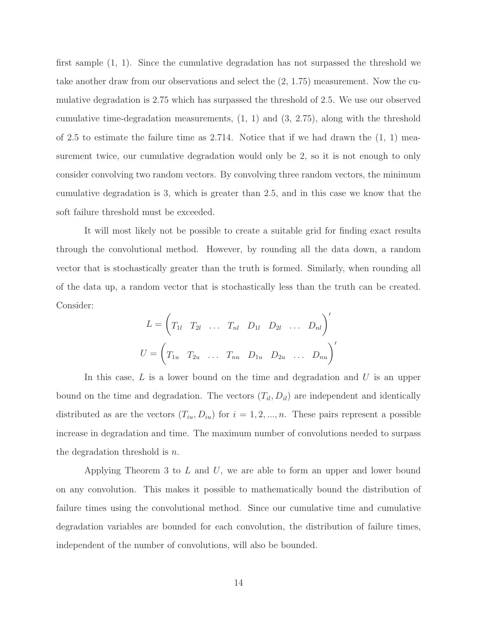first sample (1, 1). Since the cumulative degradation has not surpassed the threshold we take another draw from our observations and select the (2, 1.75) measurement. Now the cumulative degradation is 2.75 which has surpassed the threshold of 2.5. We use our observed cumulative time-degradation measurements,  $(1, 1)$  and  $(3, 2.75)$ , along with the threshold of 2.5 to estimate the failure time as  $2.714$ . Notice that if we had drawn the  $(1, 1)$  measurement twice, our cumulative degradation would only be 2, so it is not enough to only consider convolving two random vectors. By convolving three random vectors, the minimum cumulative degradation is 3, which is greater than 2.5, and in this case we know that the soft failure threshold must be exceeded.

It will most likely not be possible to create a suitable grid for finding exact results through the convolutional method. However, by rounding all the data down, a random vector that is stochastically greater than the truth is formed. Similarly, when rounding all of the data up, a random vector that is stochastically less than the truth can be created. Consider:

$$
L = \left( T_{1l} \quad T_{2l} \quad \dots \quad T_{nl} \quad D_{1l} \quad D_{2l} \quad \dots \quad D_{nl} \right)'
$$
  

$$
U = \left( T_{1u} \quad T_{2u} \quad \dots \quad T_{nu} \quad D_{1u} \quad D_{2u} \quad \dots \quad D_{nu} \right)'
$$

In this case,  $L$  is a lower bound on the time and degradation and  $U$  is an upper bound on the time and degradation. The vectors  $(T_{il}, D_{il})$  are independent and identically distributed as are the vectors  $(T_{iu}, D_{iu})$  for  $i = 1, 2, ..., n$ . These pairs represent a possible increase in degradation and time. The maximum number of convolutions needed to surpass the degradation threshold is  $n$ .

Applying Theorem 3 to  $L$  and  $U$ , we are able to form an upper and lower bound on any convolution. This makes it possible to mathematically bound the distribution of failure times using the convolutional method. Since our cumulative time and cumulative degradation variables are bounded for each convolution, the distribution of failure times, independent of the number of convolutions, will also be bounded.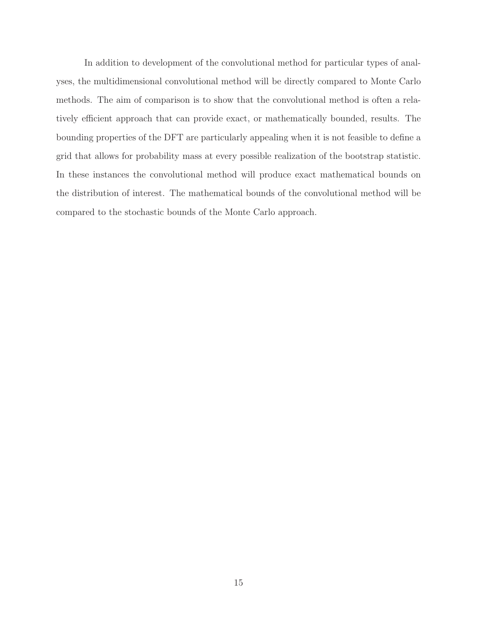In addition to development of the convolutional method for particular types of analyses, the multidimensional convolutional method will be directly compared to Monte Carlo methods. The aim of comparison is to show that the convolutional method is often a relatively efficient approach that can provide exact, or mathematically bounded, results. The bounding properties of the DFT are particularly appealing when it is not feasible to define a grid that allows for probability mass at every possible realization of the bootstrap statistic. In these instances the convolutional method will produce exact mathematical bounds on the distribution of interest. The mathematical bounds of the convolutional method will be compared to the stochastic bounds of the Monte Carlo approach.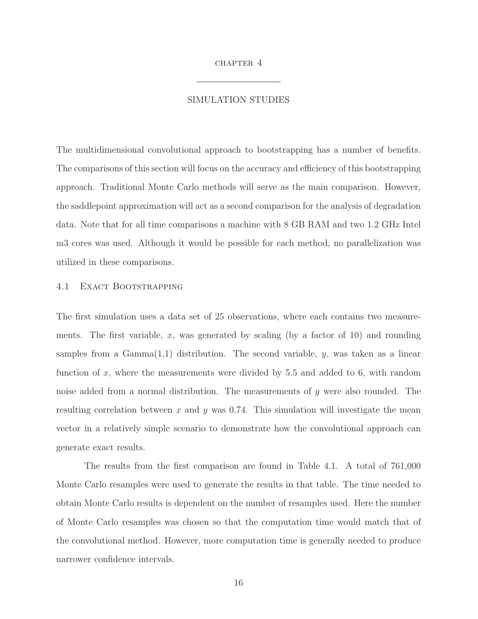#### CHAPTER 4

#### SIMULATION STUDIES

The multidimensional convolutional approach to bootstrapping has a number of benefits. The comparisons of this section will focus on the accuracy and efficiency of this bootstrapping approach. Traditional Monte Carlo methods will serve as the main comparison. However, the saddlepoint approximation will act as a second comparison for the analysis of degradation data. Note that for all time comparisons a machine with 8 GB RAM and two 1.2 GHz Intel m3 cores was used. Although it would be possible for each method, no parallelization was utilized in these comparisons.

#### 4.1 EXACT BOOTSTRAPPING

The first simulation uses a data set of 25 observations, where each contains two measurements. The first variable, x, was generated by scaling (by a factor of 10) and rounding samples from a  $Gamma(1,1)$  distribution. The second variable, y, was taken as a linear function of x, where the measurements were divided by  $5.5$  and added to 6, with random noise added from a normal distribution. The measurements of  $y$  were also rounded. The resulting correlation between x and y was 0.74. This simulation will investigate the mean vector in a relatively simple scenario to demonstrate how the convolutional approach can generate exact results.

The results from the first comparison are found in Table 4.1. A total of 761,000 Monte Carlo resamples were used to generate the results in that table. The time needed to obtain Monte Carlo results is dependent on the number of resamples used. Here the number of Monte Carlo resamples was chosen so that the computation time would match that of the convolutional method. However, more computation time is generally needed to produce narrower confidence intervals.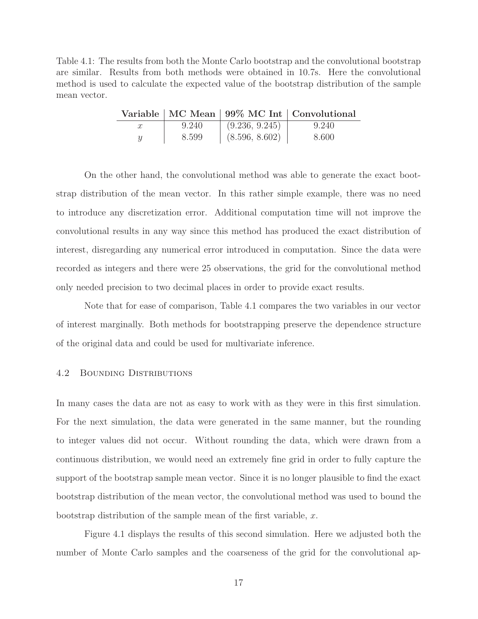Table 4.1: The results from both the Monte Carlo bootstrap and the convolutional bootstrap are similar. Results from both methods were obtained in 10.7s. Here the convolutional method is used to calculate the expected value of the bootstrap distribution of the sample mean vector.

|   |       |                | Variable   MC Mean   99% MC Int   Convolutional |
|---|-------|----------------|-------------------------------------------------|
|   | 9.240 | (9.236, 9.245) | 9.240                                           |
| Y | 8.599 | (8.596, 8.602) | 8.600                                           |

On the other hand, the convolutional method was able to generate the exact bootstrap distribution of the mean vector. In this rather simple example, there was no need to introduce any discretization error. Additional computation time will not improve the convolutional results in any way since this method has produced the exact distribution of interest, disregarding any numerical error introduced in computation. Since the data were recorded as integers and there were 25 observations, the grid for the convolutional method only needed precision to two decimal places in order to provide exact results.

Note that for ease of comparison, Table 4.1 compares the two variables in our vector of interest marginally. Both methods for bootstrapping preserve the dependence structure of the original data and could be used for multivariate inference.

## 4.2 Bounding Distributions

In many cases the data are not as easy to work with as they were in this first simulation. For the next simulation, the data were generated in the same manner, but the rounding to integer values did not occur. Without rounding the data, which were drawn from a continuous distribution, we would need an extremely fine grid in order to fully capture the support of the bootstrap sample mean vector. Since it is no longer plausible to find the exact bootstrap distribution of the mean vector, the convolutional method was used to bound the bootstrap distribution of the sample mean of the first variable,  $x$ .

Figure 4.1 displays the results of this second simulation. Here we adjusted both the number of Monte Carlo samples and the coarseness of the grid for the convolutional ap-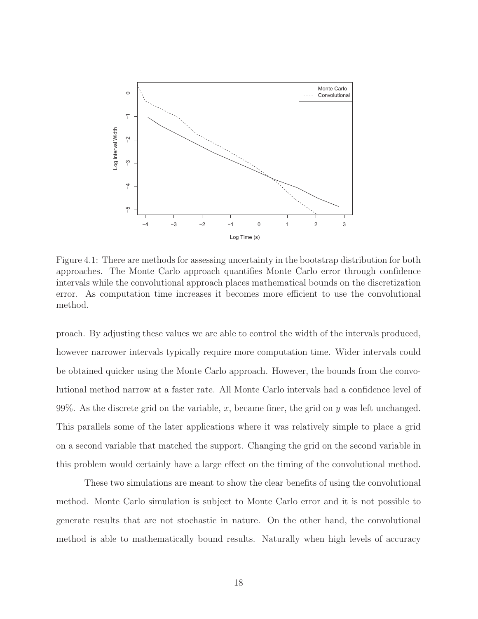

Figure 4.1: There are methods for assessing uncertainty in the bootstrap distribution for both approaches. The Monte Carlo approach quantifies Monte Carlo error through confidence intervals while the convolutional approach places mathematical bounds on the discretization error. As computation time increases it becomes more efficient to use the convolutional method.

proach. By adjusting these values we are able to control the width of the intervals produced, however narrower intervals typically require more computation time. Wider intervals could be obtained quicker using the Monte Carlo approach. However, the bounds from the convolutional method narrow at a faster rate. All Monte Carlo intervals had a confidence level of 99%. As the discrete grid on the variable, x, became finer, the grid on y was left unchanged. This parallels some of the later applications where it was relatively simple to place a grid on a second variable that matched the support. Changing the grid on the second variable in this problem would certainly have a large effect on the timing of the convolutional method.

These two simulations are meant to show the clear benefits of using the convolutional method. Monte Carlo simulation is subject to Monte Carlo error and it is not possible to generate results that are not stochastic in nature. On the other hand, the convolutional method is able to mathematically bound results. Naturally when high levels of accuracy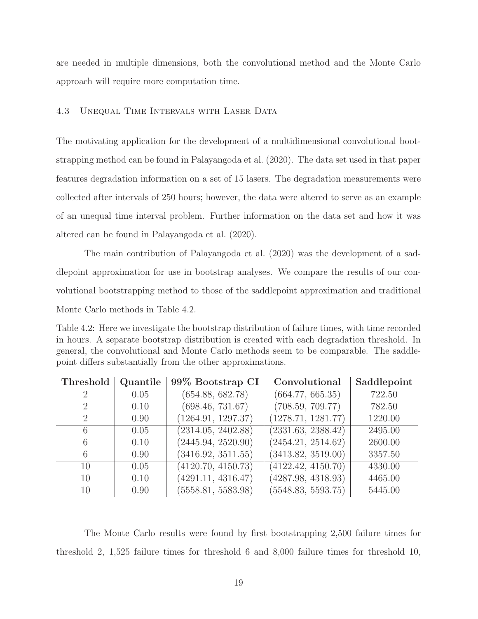are needed in multiple dimensions, both the convolutional method and the Monte Carlo approach will require more computation time.

#### 4.3 Unequal Time Intervals with Laser Data

The motivating application for the development of a multidimensional convolutional bootstrapping method can be found in Palayangoda et al. (2020). The data set used in that paper features degradation information on a set of 15 lasers. The degradation measurements were collected after intervals of 250 hours; however, the data were altered to serve as an example of an unequal time interval problem. Further information on the data set and how it was altered can be found in Palayangoda et al. (2020).

The main contribution of Palayangoda et al. (2020) was the development of a saddlepoint approximation for use in bootstrap analyses. We compare the results of our convolutional bootstrapping method to those of the saddlepoint approximation and traditional Monte Carlo methods in Table 4.2.

| Table 4.2: Here we investigate the bootstrap distribution of failure times, with time recorded |
|------------------------------------------------------------------------------------------------|
| in hours. A separate bootstrap distribution is created with each degradation threshold. In     |
| general, the convolutional and Monte Carlo methods seem to be comparable. The saddle-          |
| point differs substantially from the other approximations.                                     |

| Threshold      | Quantile | 99% Bootstrap CI   | Convolutional      | Saddlepoint |
|----------------|----------|--------------------|--------------------|-------------|
| 2              | 0.05     | (654.88, 682.78)   | (664.77, 665.35)   | 722.50      |
| $\overline{2}$ | 0.10     | (698.46, 731.67)   | (708.59, 709.77)   | 782.50      |
| 2              | 0.90     | (1264.91, 1297.37) | (1278.71, 1281.77) | 1220.00     |
| 6              | 0.05     | (2314.05, 2402.88) | (2331.63, 2388.42) | 2495.00     |
| 6              | 0.10     | (2445.94, 2520.90) | (2454.21, 2514.62) | 2600.00     |
| 6              | 0.90     | (3416.92, 3511.55) | (3413.82, 3519.00) | 3357.50     |
| 10             | 0.05     | (4120.70, 4150.73) | (4122.42, 4150.70) | 4330.00     |
| 10             | 0.10     | (4291.11, 4316.47) | (4287.98, 4318.93) | 4465.00     |
| 10             | 0.90     | (5558.81, 5583.98) | (5548.83, 5593.75) | 5445.00     |

The Monte Carlo results were found by first bootstrapping 2,500 failure times for threshold 2, 1,525 failure times for threshold 6 and 8,000 failure times for threshold 10,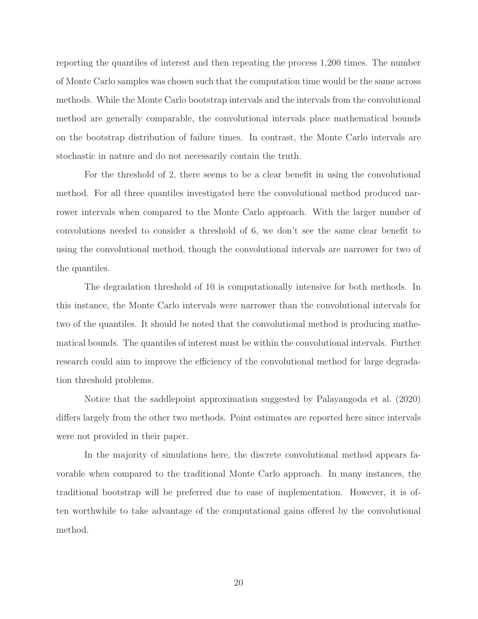reporting the quantiles of interest and then repeating the process 1,200 times. The number of Monte Carlo samples was chosen such that the computation time would be the same across methods. While the Monte Carlo bootstrap intervals and the intervals from the convolutional method are generally comparable, the convolutional intervals place mathematical bounds on the bootstrap distribution of failure times. In contrast, the Monte Carlo intervals are stochastic in nature and do not necessarily contain the truth.

For the threshold of 2, there seems to be a clear benefit in using the convolutional method. For all three quantiles investigated here the convolutional method produced narrower intervals when compared to the Monte Carlo approach. With the larger number of convolutions needed to consider a threshold of 6, we don't see the same clear benefit to using the convolutional method, though the convolutional intervals are narrower for two of the quantiles.

The degradation threshold of 10 is computationally intensive for both methods. In this instance, the Monte Carlo intervals were narrower than the convolutional intervals for two of the quantiles. It should be noted that the convolutional method is producing mathematical bounds. The quantiles of interest must be within the convolutional intervals. Further research could aim to improve the efficiency of the convolutional method for large degradation threshold problems.

Notice that the saddlepoint approximation suggested by Palayangoda et al. (2020) differs largely from the other two methods. Point estimates are reported here since intervals were not provided in their paper.

In the majority of simulations here, the discrete convolutional method appears favorable when compared to the traditional Monte Carlo approach. In many instances, the traditional bootstrap will be preferred due to ease of implementation. However, it is often worthwhile to take advantage of the computational gains offered by the convolutional method.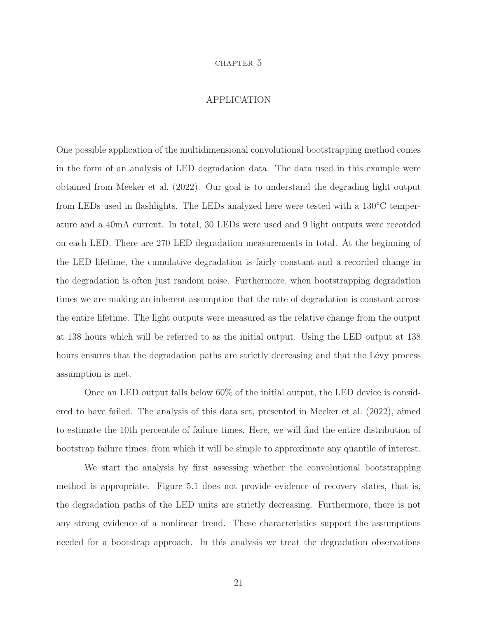#### chapter 5

## APPLICATION

One possible application of the multidimensional convolutional bootstrapping method comes in the form of an analysis of LED degradation data. The data used in this example were obtained from Meeker et al. (2022). Our goal is to understand the degrading light output from LEDs used in flashlights. The LEDs analyzed here were tested with a 130<sup>°</sup>C temperature and a 40mA current. In total, 30 LEDs were used and 9 light outputs were recorded on each LED. There are 270 LED degradation measurements in total. At the beginning of the LED lifetime, the cumulative degradation is fairly constant and a recorded change in the degradation is often just random noise. Furthermore, when bootstrapping degradation times we are making an inherent assumption that the rate of degradation is constant across the entire lifetime. The light outputs were measured as the relative change from the output at 138 hours which will be referred to as the initial output. Using the LED output at 138 hours ensures that the degradation paths are strictly decreasing and that the Lévy process assumption is met.

Once an LED output falls below 60% of the initial output, the LED device is considered to have failed. The analysis of this data set, presented in Meeker et al. (2022), aimed to estimate the 10th percentile of failure times. Here, we will find the entire distribution of bootstrap failure times, from which it will be simple to approximate any quantile of interest.

We start the analysis by first assessing whether the convolutional bootstrapping method is appropriate. Figure 5.1 does not provide evidence of recovery states, that is, the degradation paths of the LED units are strictly decreasing. Furthermore, there is not any strong evidence of a nonlinear trend. These characteristics support the assumptions needed for a bootstrap approach. In this analysis we treat the degradation observations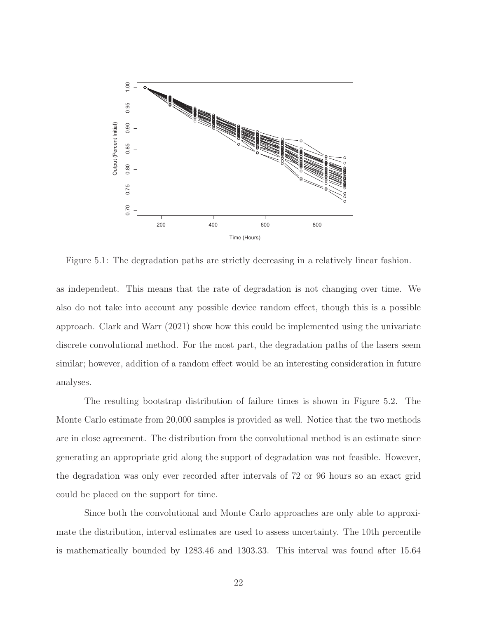

Figure 5.1: The degradation paths are strictly decreasing in a relatively linear fashion.

as independent. This means that the rate of degradation is not changing over time. We also do not take into account any possible device random effect, though this is a possible approach. Clark and Warr (2021) show how this could be implemented using the univariate discrete convolutional method. For the most part, the degradation paths of the lasers seem similar; however, addition of a random effect would be an interesting consideration in future analyses.

The resulting bootstrap distribution of failure times is shown in Figure 5.2. The Monte Carlo estimate from 20,000 samples is provided as well. Notice that the two methods are in close agreement. The distribution from the convolutional method is an estimate since generating an appropriate grid along the support of degradation was not feasible. However, the degradation was only ever recorded after intervals of 72 or 96 hours so an exact grid could be placed on the support for time.

Since both the convolutional and Monte Carlo approaches are only able to approximate the distribution, interval estimates are used to assess uncertainty. The 10th percentile is mathematically bounded by 1283.46 and 1303.33. This interval was found after 15.64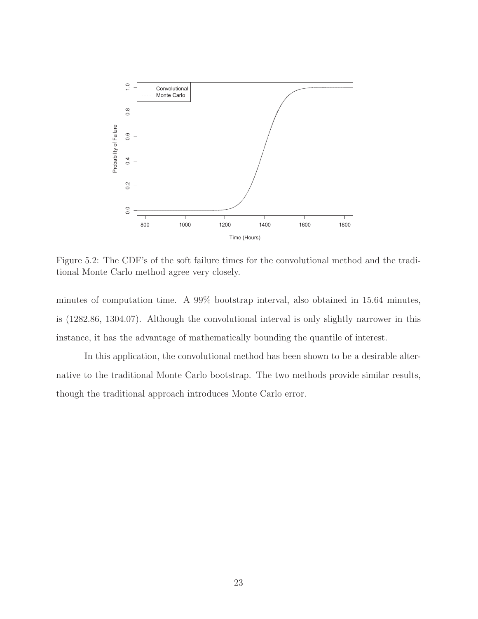

Figure 5.2: The CDF's of the soft failure times for the convolutional method and the traditional Monte Carlo method agree very closely.

minutes of computation time. A 99% bootstrap interval, also obtained in 15.64 minutes, is (1282.86, 1304.07). Although the convolutional interval is only slightly narrower in this instance, it has the advantage of mathematically bounding the quantile of interest.

In this application, the convolutional method has been shown to be a desirable alternative to the traditional Monte Carlo bootstrap. The two methods provide similar results, though the traditional approach introduces Monte Carlo error.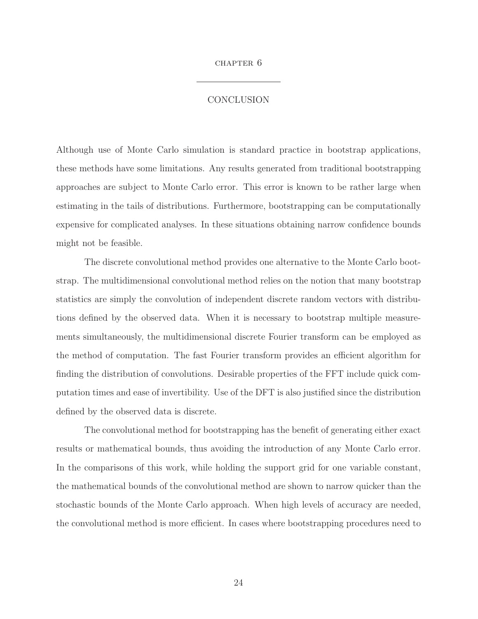#### chapter 6

## **CONCLUSION**

Although use of Monte Carlo simulation is standard practice in bootstrap applications, these methods have some limitations. Any results generated from traditional bootstrapping approaches are subject to Monte Carlo error. This error is known to be rather large when estimating in the tails of distributions. Furthermore, bootstrapping can be computationally expensive for complicated analyses. In these situations obtaining narrow confidence bounds might not be feasible.

The discrete convolutional method provides one alternative to the Monte Carlo bootstrap. The multidimensional convolutional method relies on the notion that many bootstrap statistics are simply the convolution of independent discrete random vectors with distributions defined by the observed data. When it is necessary to bootstrap multiple measurements simultaneously, the multidimensional discrete Fourier transform can be employed as the method of computation. The fast Fourier transform provides an efficient algorithm for finding the distribution of convolutions. Desirable properties of the FFT include quick computation times and ease of invertibility. Use of the DFT is also justified since the distribution defined by the observed data is discrete.

The convolutional method for bootstrapping has the benefit of generating either exact results or mathematical bounds, thus avoiding the introduction of any Monte Carlo error. In the comparisons of this work, while holding the support grid for one variable constant, the mathematical bounds of the convolutional method are shown to narrow quicker than the stochastic bounds of the Monte Carlo approach. When high levels of accuracy are needed, the convolutional method is more efficient. In cases where bootstrapping procedures need to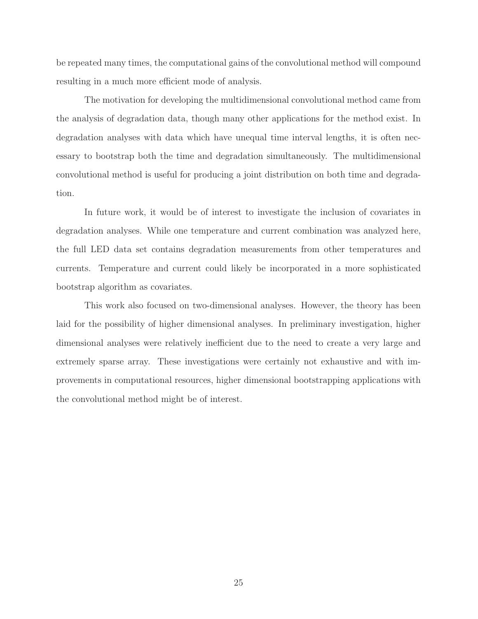be repeated many times, the computational gains of the convolutional method will compound resulting in a much more efficient mode of analysis.

The motivation for developing the multidimensional convolutional method came from the analysis of degradation data, though many other applications for the method exist. In degradation analyses with data which have unequal time interval lengths, it is often necessary to bootstrap both the time and degradation simultaneously. The multidimensional convolutional method is useful for producing a joint distribution on both time and degradation.

In future work, it would be of interest to investigate the inclusion of covariates in degradation analyses. While one temperature and current combination was analyzed here, the full LED data set contains degradation measurements from other temperatures and currents. Temperature and current could likely be incorporated in a more sophisticated bootstrap algorithm as covariates.

This work also focused on two-dimensional analyses. However, the theory has been laid for the possibility of higher dimensional analyses. In preliminary investigation, higher dimensional analyses were relatively inefficient due to the need to create a very large and extremely sparse array. These investigations were certainly not exhaustive and with improvements in computational resources, higher dimensional bootstrapping applications with the convolutional method might be of interest.

25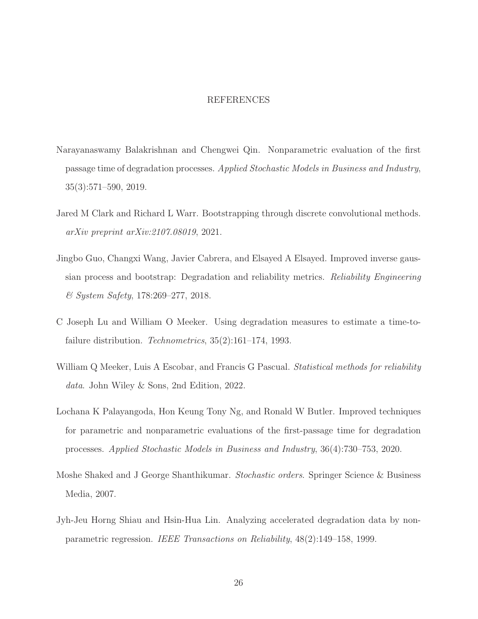#### REFERENCES

- Narayanaswamy Balakrishnan and Chengwei Qin. Nonparametric evaluation of the first passage time of degradation processes. Applied Stochastic Models in Business and Industry, 35(3):571–590, 2019.
- Jared M Clark and Richard L Warr. Bootstrapping through discrete convolutional methods. arXiv preprint arXiv:2107.08019, 2021.
- Jingbo Guo, Changxi Wang, Javier Cabrera, and Elsayed A Elsayed. Improved inverse gaussian process and bootstrap: Degradation and reliability metrics. Reliability Engineering & System Safety, 178:269–277, 2018.
- C Joseph Lu and William O Meeker. Using degradation measures to estimate a time-tofailure distribution. *Technometrics*, 35(2):161–174, 1993.
- William Q Meeker, Luis A Escobar, and Francis G Pascual. *Statistical methods for reliability* data. John Wiley & Sons, 2nd Edition, 2022.
- Lochana K Palayangoda, Hon Keung Tony Ng, and Ronald W Butler. Improved techniques for parametric and nonparametric evaluations of the first-passage time for degradation processes. Applied Stochastic Models in Business and Industry, 36(4):730–753, 2020.
- Moshe Shaked and J George Shanthikumar. Stochastic orders. Springer Science & Business Media, 2007.
- Jyh-Jeu Horng Shiau and Hsin-Hua Lin. Analyzing accelerated degradation data by nonparametric regression. IEEE Transactions on Reliability, 48(2):149–158, 1999.